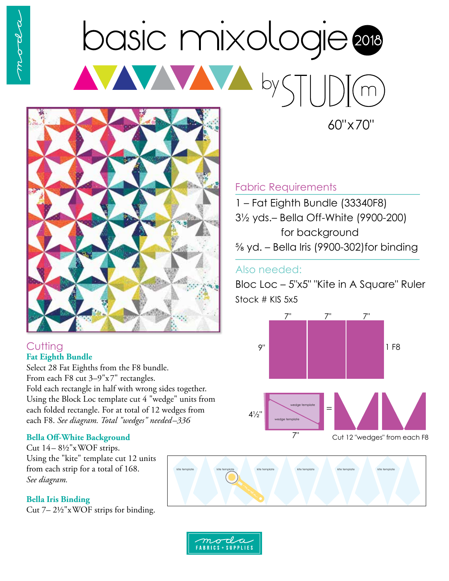# basic mixologie AVAVA by STI



### **Cutting Fat Eighth Bundle**

Select 28 Fat Eighths from the F8 bundle. From each F8 cut 3–9"x7" rectangles. Fold each rectangle in half with wrong sides together. Using the Block Loc template cut 4 "wedge" units from each folded rectangle. For at total of 12 wedges from each F8. *See diagram. Total "wedges" needed–336*

### **Bella Off-White Background**

Cut 14– 8½"xWOF strips. Using the "kite" template cut 12 units from each strip for a total of 168. *See diagram.* 

### **Bella Iris Binding**

Cut 7– 2½"xWOF strips for binding.

# Fabric Requirements

1 – Fat Eighth Bundle (33340F8) 3½ yds.– Bella Off-White (9900-200) for background ⅝ yd. – Bella Iris (9900-302)for binding

60"x70"

## Also needed:

Bloc Loc – 5"x5" "Kite in A Square" Ruler Stock # KIS 5x5